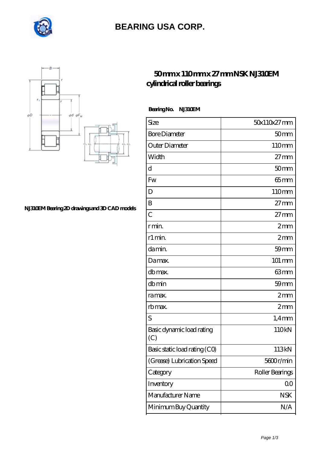

## **[BEARING USA CORP.](https://internationalbonsaiforum.com)**



## **[cylindrical roller bearings](https://internationalbonsaiforum.com/nsk-nj310em-bearing/)**

**[50 mm x 110 mm x 27 mm NSK NJ310EM](https://internationalbonsaiforum.com/nsk-nj310em-bearing/)**

 **Bearing No. NJ310EM**

| Size                             | 50x110x27mm          |
|----------------------------------|----------------------|
| <b>Bore Diameter</b>             | 50 <sub>mm</sub>     |
| Outer Diameter                   | 110mm                |
| Width                            | $27 \text{mm}$       |
| d                                | 50 <sub>mm</sub>     |
| Fw                               | $65$ mm              |
| D                                | 110mm                |
| B                                | $27 \text{mm}$       |
| $\overline{C}$                   | $27 \text{mm}$       |
| r min.                           | 2mm                  |
| r1 min.                          | 2mm                  |
| da min.                          | $59$ mm              |
| Damax.                           | $101 \, \mathrm{mm}$ |
| db max.                          | 63mm                 |
| dbmin                            | 59 <sub>mm</sub>     |
| ra max.                          | 2mm                  |
| rb max.                          | 2mm                  |
| S                                | $1,4$ mm             |
| Basic dynamic load rating<br>(C) | 110kN                |
| Basic static load rating (CO)    | 113kN                |
| (Grease) Lubrication Speed       | 5600r/min            |
| Category                         | Roller Bearings      |
| Inventory                        | 0 <sup>0</sup>       |
| Manufacturer Name                | <b>NSK</b>           |
| Minimum Buy Quantity             | N/A                  |

**[NJ310EM Bearing 2D drawings and 3D CAD models](https://internationalbonsaiforum.com/pic-65127459.html)**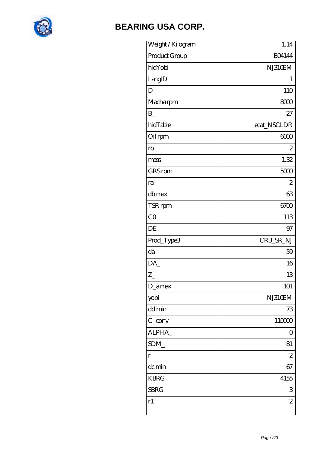

## **BEARING USA CORP.**

| Weight / Kilogram | 1.14                      |
|-------------------|---------------------------|
| Product Group     | <b>BO4144</b>             |
| hidYobi           | NJ310EM                   |
| LangID            | 1                         |
| $D_{-}$           | 110                       |
| Macharpm          | 8000                      |
| $\mathbf{B}$      | 27                        |
| hidTable          | ecat_NSCLDR               |
| Oil rpm           | 6000                      |
| rb                | $\overline{c}$            |
| mass              | 1.32                      |
| GRS rpm           | 5000                      |
| ra                | $\mathbf{z}$              |
| db max            | 63                        |
| TSR rpm           | 6700                      |
| CO                | 113                       |
| DE                | 97                        |
| Prod_Type3        | CRB_SR_NJ                 |
| da                | 59                        |
| DA                | 16                        |
| $Z_{\perp}$       | 13                        |
| D_amax            | 101                       |
| yobi              | NJ310EM                   |
| dd min            | 73                        |
| $C_{conv}$        | 110000                    |
| ALPHA_            | $\overline{O}$            |
| SDM               | 81                        |
| $\Gamma$          | $\mathbf{z}$              |
| dc min            | 67                        |
| <b>KBRG</b>       | 4155                      |
| <b>SBRG</b>       | $\ensuremath{\mathsf{3}}$ |
| r1                | $\overline{c}$            |
|                   |                           |